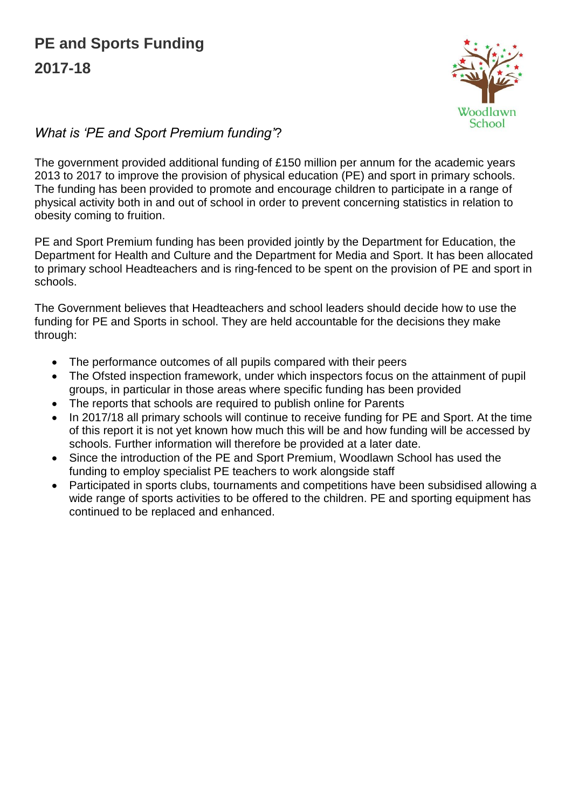

# *What is 'PE and Sport Premium funding'*?

The government provided additional funding of £150 million per annum for the academic years 2013 to 2017 to improve the provision of physical education (PE) and sport in primary schools. The funding has been provided to promote and encourage children to participate in a range of physical activity both in and out of school in order to prevent concerning statistics in relation to obesity coming to fruition.

PE and Sport Premium funding has been provided jointly by the Department for Education, the Department for Health and Culture and the Department for Media and Sport. It has been allocated to primary school Headteachers and is ring-fenced to be spent on the provision of PE and sport in schools.

The Government believes that Headteachers and school leaders should decide how to use the funding for PE and Sports in school. They are held accountable for the decisions they make through:

- The performance outcomes of all pupils compared with their peers
- The Ofsted inspection framework, under which inspectors focus on the attainment of pupil groups, in particular in those areas where specific funding has been provided
- The reports that schools are required to publish online for Parents
- In 2017/18 all primary schools will continue to receive funding for PE and Sport. At the time of this report it is not yet known how much this will be and how funding will be accessed by schools. Further information will therefore be provided at a later date.
- Since the introduction of the PE and Sport Premium, Woodlawn School has used the funding to employ specialist PE teachers to work alongside staff
- Participated in sports clubs, tournaments and competitions have been subsidised allowing a wide range of sports activities to be offered to the children. PE and sporting equipment has continued to be replaced and enhanced.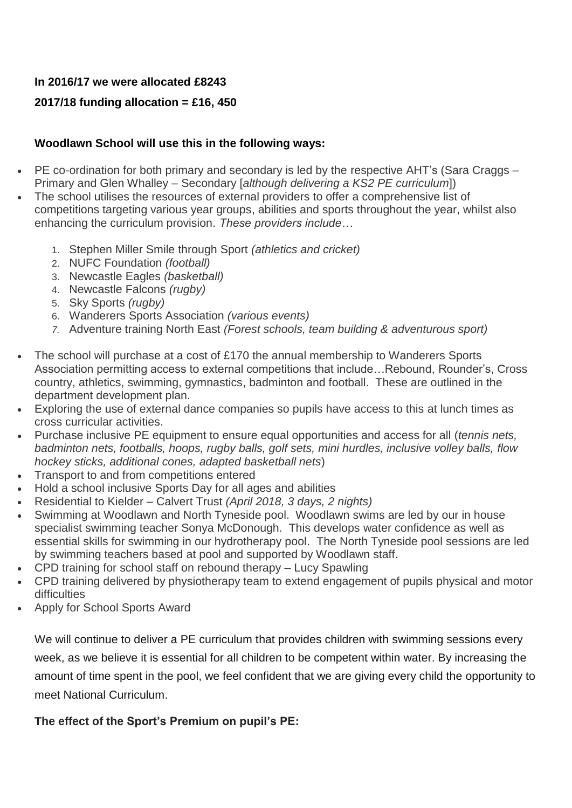### **In 2016/17 we were allocated £8243**

## **2017/18 funding allocation = £16, 450**

#### **Woodlawn School will use this in the following ways:**

- PE co-ordination for both primary and secondary is led by the respective AHT's (Sara Craggs Primary and Glen Whalley – Secondary [*although delivering a KS2 PE curriculum*])
- The school utilises the resources of external providers to offer a comprehensive list of competitions targeting various year groups, abilities and sports throughout the year, whilst also enhancing the curriculum provision. *These providers include…*
	- 1. Stephen Miller Smile through Sport *(athletics and cricket)*
	- 2. NUFC Foundation *(football)*
	- 3. Newcastle Eagles *(basketball)*
	- 4. Newcastle Falcons *(rugby)*
	- 5. Sky Sports *(rugby)*
	- 6. Wanderers Sports Association *(various events)*
	- *7.* Adventure training North East *(Forest schools, team building & adventurous sport)*
- The school will purchase at a cost of £170 the annual membership to Wanderers Sports Association permitting access to external competitions that include…Rebound, Rounder's, Cross country, athletics, swimming, gymnastics, badminton and football. These are outlined in the department development plan.
- Exploring the use of external dance companies so pupils have access to this at lunch times as cross curricular activities.
- Purchase inclusive PE equipment to ensure equal opportunities and access for all (*tennis nets, badminton nets, footballs, hoops, rugby balls, golf sets, mini hurdles, inclusive volley balls, flow hockey sticks, additional cones, adapted basketball nets*)
- Transport to and from competitions entered
- Hold a school inclusive Sports Day for all ages and abilities
- Residential to Kielder Calvert Trust *(April 2018, 3 days, 2 nights)*
- Swimming at Woodlawn and North Tyneside pool. Woodlawn swims are led by our in house specialist swimming teacher Sonya McDonough. This develops water confidence as well as essential skills for swimming in our hydrotherapy pool. The North Tyneside pool sessions are led by swimming teachers based at pool and supported by Woodlawn staff.
- CPD training for school staff on rebound therapy Lucy Spawling
- CPD training delivered by physiotherapy team to extend engagement of pupils physical and motor difficulties
- Apply for School Sports Award

We will continue to deliver a PE curriculum that provides children with swimming sessions every week, as we believe it is essential for all children to be competent within water. By increasing the amount of time spent in the pool, we feel confident that we are giving every child the opportunity to meet National Curriculum.

#### **The effect of the Sport's Premium on pupil's PE:**